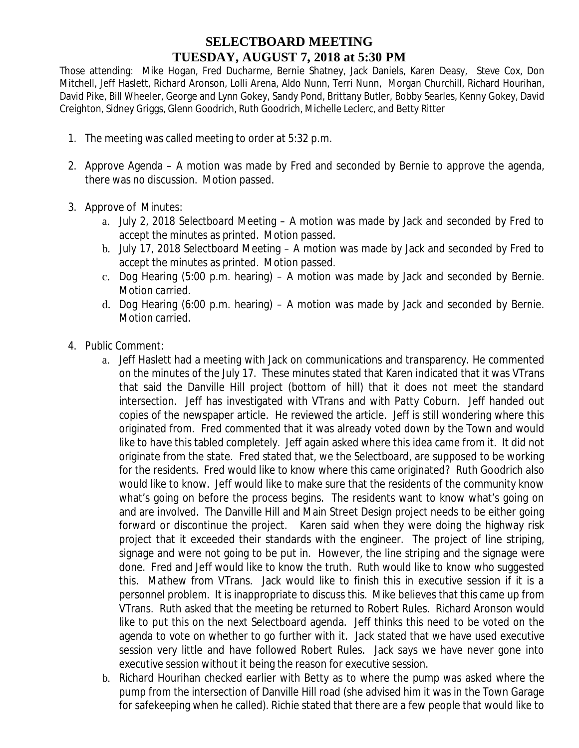## **SELECTBOARD MEETING TUESDAY, AUGUST 7, 2018 at 5:30 PM**

 Those attending: Mike Hogan, Fred Ducharme, Bernie Shatney, Jack Daniels, Karen Deasy, Steve Cox, Don Mitchell, Jeff Haslett, Richard Aronson, Lolli Arena, Aldo Nunn, Terri Nunn, Morgan Churchill, Richard Hourihan, David Pike, Bill Wheeler, George and Lynn Gokey, Sandy Pond, Brittany Butler, Bobby Searles, Kenny Gokey, David Creighton, Sidney Griggs, Glenn Goodrich, Ruth Goodrich, Michelle Leclerc, and Betty Ritter

- 1. The meeting was called meeting to order at 5:32 p.m.
- 2. Approve Agenda A motion was made by Fred and seconded by Bernie to approve the agenda, there was no discussion. Motion passed.
- 3. Approve of Minutes:
	- a. July 2, 2018 Selectboard Meeting A motion was made by Jack and seconded by Fred to accept the minutes as printed. Motion passed.
	- b. July 17, 2018 Selectboard Meeting A motion was made by Jack and seconded by Fred to accept the minutes as printed. Motion passed.
	- c. Dog Hearing (5:00 p.m. hearing) A motion was made by Jack and seconded by Bernie. Motion carried.
	- d. Dog Hearing (6:00 p.m. hearing) A motion was made by Jack and seconded by Bernie. Motion carried.
- 4. Public Comment:
	- a. Jeff Haslett had a meeting with Jack on communications and transparency. He commented on the minutes of the July 17. These minutes stated that Karen indicated that it was VTrans that said the Danville Hill project (bottom of hill) that it does not meet the standard intersection. Jeff has investigated with VTrans and with Patty Coburn. Jeff handed out copies of the newspaper article. He reviewed the article. Jeff is still wondering where this originated from. Fred commented that it was already voted down by the Town and would like to have this tabled completely. Jeff again asked where this idea came from it. It did not originate from the state. Fred stated that, we the Selectboard, are supposed to be working for the residents. Fred would like to know where this came originated? Ruth Goodrich also would like to know. Jeff would like to make sure that the residents of the community know what's going on before the process begins. The residents want to know what's going on and are involved. The Danville Hill and Main Street Design project needs to be either going forward or discontinue the project. Karen said when they were doing the highway risk project that it exceeded their standards with the engineer. The project of line striping, signage and were not going to be put in. However, the line striping and the signage were done. Fred and Jeff would like to know the truth. Ruth would like to know who suggested this. Mathew from VTrans. Jack would like to finish this in executive session if it is a personnel problem. It is inappropriate to discuss this. Mike believes that this came up from VTrans. Ruth asked that the meeting be returned to Robert Rules. Richard Aronson would like to put this on the next Selectboard agenda. Jeff thinks this need to be voted on the agenda to vote on whether to go further with it. Jack stated that we have used executive session very little and have followed Robert Rules. Jack says we have never gone into executive session without it being the reason for executive session.
	- b. Richard Hourihan checked earlier with Betty as to where the pump was asked where the pump from the intersection of Danville Hill road (she advised him it was in the Town Garage for safekeeping when he called). Richie stated that there are a few people that would like to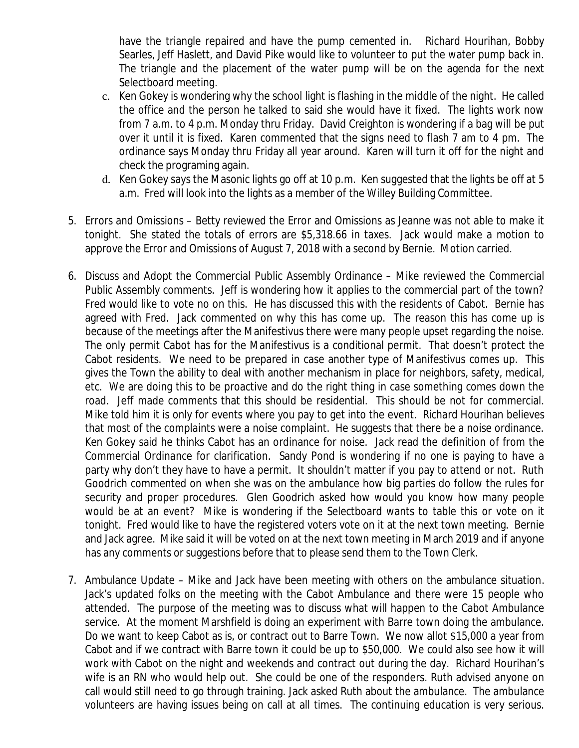have the triangle repaired and have the pump cemented in. Richard Hourihan, Bobby Searles, Jeff Haslett, and David Pike would like to volunteer to put the water pump back in. The triangle and the placement of the water pump will be on the agenda for the next Selectboard meeting.

- c. Ken Gokey is wondering why the school light is flashing in the middle of the night. He called the office and the person he talked to said she would have it fixed. The lights work now from 7 a.m. to 4 p.m. Monday thru Friday. David Creighton is wondering if a bag will be put over it until it is fixed. Karen commented that the signs need to flash 7 am to 4 pm. The ordinance says Monday thru Friday all year around. Karen will turn it off for the night and check the programing again.
- d. Ken Gokey says the Masonic lights go off at 10 p.m. Ken suggested that the lights be off at 5 a.m. Fred will look into the lights as a member of the Willey Building Committee.
- 5. Errors and Omissions Betty reviewed the Error and Omissions as Jeanne was not able to make it tonight. She stated the totals of errors are \$5,318.66 in taxes. Jack would make a motion to approve the Error and Omissions of August 7, 2018 with a second by Bernie. Motion carried.
- 6. Discuss and Adopt the Commercial Public Assembly Ordinance Mike reviewed the Commercial Public Assembly comments. Jeff is wondering how it applies to the commercial part of the town? Fred would like to vote no on this. He has discussed this with the residents of Cabot. Bernie has agreed with Fred. Jack commented on why this has come up. The reason this has come up is because of the meetings after the Manifestivus there were many people upset regarding the noise. The only permit Cabot has for the Manifestivus is a conditional permit. That doesn't protect the Cabot residents. We need to be prepared in case another type of Manifestivus comes up. This gives the Town the ability to deal with another mechanism in place for neighbors, safety, medical, etc. We are doing this to be proactive and do the right thing in case something comes down the road. Jeff made comments that this should be residential. This should be not for commercial. Mike told him it is only for events where you pay to get into the event. Richard Hourihan believes that most of the complaints were a noise complaint. He suggests that there be a noise ordinance. Ken Gokey said he thinks Cabot has an ordinance for noise. Jack read the definition of from the Commercial Ordinance for clarification. Sandy Pond is wondering if no one is paying to have a party why don't they have to have a permit. It shouldn't matter if you pay to attend or not. Ruth Goodrich commented on when she was on the ambulance how big parties do follow the rules for security and proper procedures. Glen Goodrich asked how would you know how many people would be at an event? Mike is wondering if the Selectboard wants to table this or vote on it tonight. Fred would like to have the registered voters vote on it at the next town meeting. Bernie and Jack agree. Mike said it will be voted on at the next town meeting in March 2019 and if anyone has any comments or suggestions before that to please send them to the Town Clerk.
- 7. Ambulance Update Mike and Jack have been meeting with others on the ambulance situation. Jack's updated folks on the meeting with the Cabot Ambulance and there were 15 people who attended. The purpose of the meeting was to discuss what will happen to the Cabot Ambulance service. At the moment Marshfield is doing an experiment with Barre town doing the ambulance. Do we want to keep Cabot as is, or contract out to Barre Town. We now allot \$15,000 a year from Cabot and if we contract with Barre town it could be up to \$50,000. We could also see how it will work with Cabot on the night and weekends and contract out during the day. Richard Hourihan's wife is an RN who would help out. She could be one of the responders. Ruth advised anyone on call would still need to go through training. Jack asked Ruth about the ambulance. The ambulance volunteers are having issues being on call at all times. The continuing education is very serious.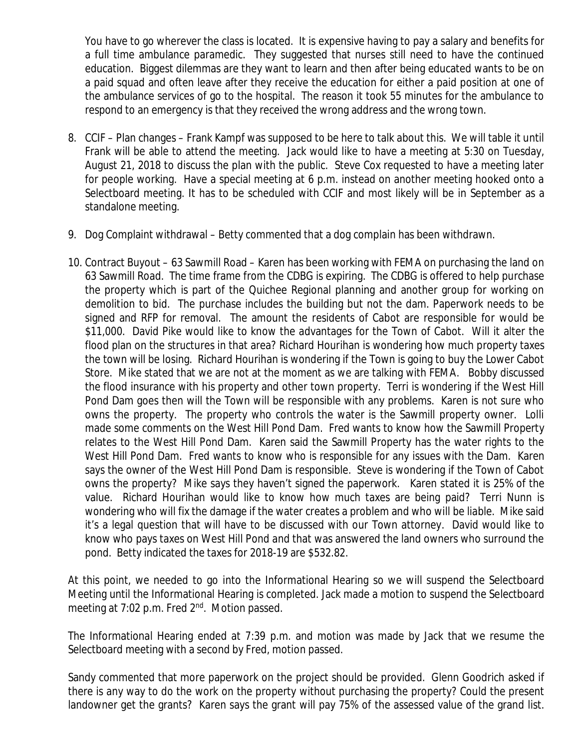You have to go wherever the class is located. It is expensive having to pay a salary and benefits for a full time ambulance paramedic. They suggested that nurses still need to have the continued education. Biggest dilemmas are they want to learn and then after being educated wants to be on a paid squad and often leave after they receive the education for either a paid position at one of the ambulance services of go to the hospital. The reason it took 55 minutes for the ambulance to respond to an emergency is that they received the wrong address and the wrong town.

- 8. CCIF Plan changes Frank Kampf was supposed to be here to talk about this. We will table it until Frank will be able to attend the meeting. Jack would like to have a meeting at 5:30 on Tuesday, August 21, 2018 to discuss the plan with the public. Steve Cox requested to have a meeting later for people working. Have a special meeting at 6 p.m. instead on another meeting hooked onto a Selectboard meeting. It has to be scheduled with CCIF and most likely will be in September as a standalone meeting.
- 9. Dog Complaint withdrawal Betty commented that a dog complain has been withdrawn.
- 10. Contract Buyout 63 Sawmill Road Karen has been working with FEMA on purchasing the land on 63 Sawmill Road. The time frame from the CDBG is expiring. The CDBG is offered to help purchase the property which is part of the Quichee Regional planning and another group for working on demolition to bid. The purchase includes the building but not the dam. Paperwork needs to be signed and RFP for removal. The amount the residents of Cabot are responsible for would be \$11,000. David Pike would like to know the advantages for the Town of Cabot. Will it alter the flood plan on the structures in that area? Richard Hourihan is wondering how much property taxes the town will be losing. Richard Hourihan is wondering if the Town is going to buy the Lower Cabot Store. Mike stated that we are not at the moment as we are talking with FEMA. Bobby discussed the flood insurance with his property and other town property. Terri is wondering if the West Hill Pond Dam goes then will the Town will be responsible with any problems. Karen is not sure who owns the property. The property who controls the water is the Sawmill property owner. Lolli made some comments on the West Hill Pond Dam. Fred wants to know how the Sawmill Property relates to the West Hill Pond Dam. Karen said the Sawmill Property has the water rights to the West Hill Pond Dam. Fred wants to know who is responsible for any issues with the Dam. Karen says the owner of the West Hill Pond Dam is responsible. Steve is wondering if the Town of Cabot owns the property? Mike says they haven't signed the paperwork. Karen stated it is 25% of the value. Richard Hourihan would like to know how much taxes are being paid? Terri Nunn is wondering who will fix the damage if the water creates a problem and who will be liable. Mike said it's a legal question that will have to be discussed with our Town attorney. David would like to know who pays taxes on West Hill Pond and that was answered the land owners who surround the pond. Betty indicated the taxes for 2018-19 are \$532.82.

At this point, we needed to go into the Informational Hearing so we will suspend the Selectboard Meeting until the Informational Hearing is completed. Jack made a motion to suspend the Selectboard meeting at 7:02 p.m. Fred 2<sup>nd</sup>. Motion passed.

The Informational Hearing ended at 7:39 p.m. and motion was made by Jack that we resume the Selectboard meeting with a second by Fred, motion passed.

Sandy commented that more paperwork on the project should be provided. Glenn Goodrich asked if there is any way to do the work on the property without purchasing the property? Could the present landowner get the grants? Karen says the grant will pay 75% of the assessed value of the grand list.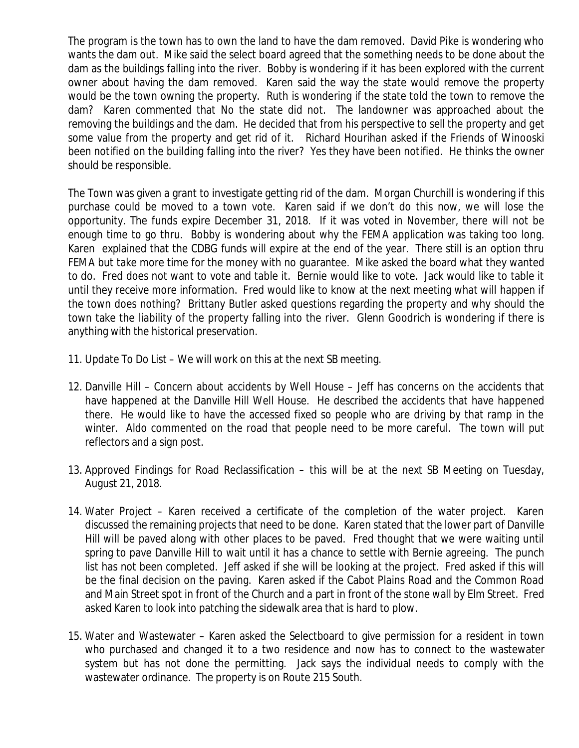The program is the town has to own the land to have the dam removed. David Pike is wondering who wants the dam out. Mike said the select board agreed that the something needs to be done about the dam as the buildings falling into the river. Bobby is wondering if it has been explored with the current owner about having the dam removed. Karen said the way the state would remove the property would be the town owning the property. Ruth is wondering if the state told the town to remove the dam? Karen commented that No the state did not. The landowner was approached about the removing the buildings and the dam. He decided that from his perspective to sell the property and get some value from the property and get rid of it. Richard Hourihan asked if the Friends of Winooski been notified on the building falling into the river? Yes they have been notified. He thinks the owner should be responsible.

The Town was given a grant to investigate getting rid of the dam. Morgan Churchill is wondering if this purchase could be moved to a town vote. Karen said if we don't do this now, we will lose the opportunity. The funds expire December 31, 2018. If it was voted in November, there will not be enough time to go thru. Bobby is wondering about why the FEMA application was taking too long. Karen explained that the CDBG funds will expire at the end of the year. There still is an option thru FEMA but take more time for the money with no guarantee. Mike asked the board what they wanted to do. Fred does not want to vote and table it. Bernie would like to vote. Jack would like to table it until they receive more information. Fred would like to know at the next meeting what will happen if the town does nothing? Brittany Butler asked questions regarding the property and why should the town take the liability of the property falling into the river. Glenn Goodrich is wondering if there is anything with the historical preservation.

- 11. Update To Do List We will work on this at the next SB meeting.
- 12. Danville Hill Concern about accidents by Well House Jeff has concerns on the accidents that have happened at the Danville Hill Well House. He described the accidents that have happened there. He would like to have the accessed fixed so people who are driving by that ramp in the winter. Aldo commented on the road that people need to be more careful. The town will put reflectors and a sign post.
- 13. Approved Findings for Road Reclassification this will be at the next SB Meeting on Tuesday, August 21, 2018.
- 14. Water Project Karen received a certificate of the completion of the water project. Karen discussed the remaining projects that need to be done. Karen stated that the lower part of Danville Hill will be paved along with other places to be paved. Fred thought that we were waiting until spring to pave Danville Hill to wait until it has a chance to settle with Bernie agreeing. The punch list has not been completed. Jeff asked if she will be looking at the project. Fred asked if this will be the final decision on the paving. Karen asked if the Cabot Plains Road and the Common Road and Main Street spot in front of the Church and a part in front of the stone wall by Elm Street. Fred asked Karen to look into patching the sidewalk area that is hard to plow.
- 15. Water and Wastewater Karen asked the Selectboard to give permission for a resident in town who purchased and changed it to a two residence and now has to connect to the wastewater system but has not done the permitting. Jack says the individual needs to comply with the wastewater ordinance. The property is on Route 215 South.